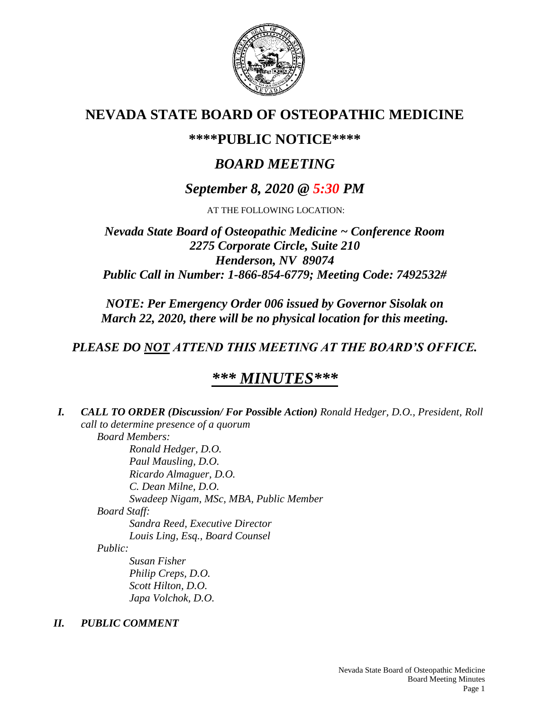

# **NEVADA STATE BOARD OF OSTEOPATHIC MEDICINE**

## **\*\*\*\*PUBLIC NOTICE\*\*\*\***

# *BOARD MEETING*

## *September 8, 2020 @ 5:30 PM*

AT THE FOLLOWING LOCATION:

## *Nevada State Board of Osteopathic Medicine ~ Conference Room 2275 Corporate Circle, Suite 210 Henderson, NV 89074 Public Call in Number: 1-866-854-6779; Meeting Code: 7492532#*

*NOTE: Per Emergency Order 006 issued by Governor Sisolak on March 22, 2020, there will be no physical location for this meeting.*

## *PLEASE DO NOT ATTEND THIS MEETING AT THE BOARD'S OFFICE.*

# *\*\*\* MINUTES\*\*\**

*I. CALL TO ORDER (Discussion/ For Possible Action) Ronald Hedger, D.O., President, Roll call to determine presence of a quorum Board Members: Ronald Hedger, D.O. Paul Mausling, D.O. Ricardo Almaguer, D.O. C. Dean Milne, D.O. Swadeep Nigam, MSc, MBA, Public Member Board Staff: Sandra Reed, Executive Director Louis Ling, Esq., Board Counsel Public: Susan Fisher Philip Creps, D.O. Scott Hilton, D.O. Japa Volchok, D.O. II. PUBLIC COMMENT*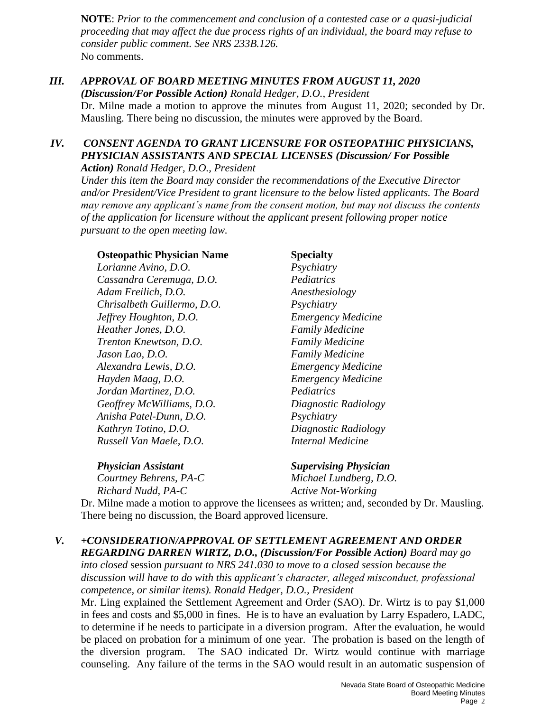**NOTE**: *Prior to the commencement and conclusion of a contested case or a quasi-judicial proceeding that may affect the due process rights of an individual, the board may refuse to consider public comment. See NRS 233B.126.* No comments.

## *III. APPROVAL OF BOARD MEETING MINUTES FROM AUGUST 11, 2020*

*(Discussion/For Possible Action) Ronald Hedger, D.O., President*

Dr. Milne made a motion to approve the minutes from August 11, 2020; seconded by Dr. Mausling. There being no discussion, the minutes were approved by the Board.

#### *IV. CONSENT AGENDA TO GRANT LICENSURE FOR OSTEOPATHIC PHYSICIANS, PHYSICIAN ASSISTANTS AND SPECIAL LICENSES (Discussion/ For Possible Action) Ronald Hedger, D.O., President*

*Under this item the Board may consider the recommendations of the Executive Director and/or President/Vice President to grant licensure to the below listed applicants. The Board may remove any applicant's name from the consent motion, but may not discuss the contents of the application for licensure without the applicant present following proper notice pursuant to the open meeting law.*

#### **Osteopathic Physician Name Specialty**

*Lorianne Avino, D.O. Psychiatry Cassandra Ceremuga, D.O. Pediatrics Adam Freilich, D.O. Anesthesiology Chrisalbeth Guillermo, D.O. Psychiatry Jeffrey Houghton, D.O. Emergency Medicine Heather Jones, D.O. Family Medicine Trenton Knewtson, D.O. Family Medicine Jason Lao, D.O. Family Medicine Alexandra Lewis, D.O. Emergency Medicine Hayden Maag, D.O. Emergency Medicine Jordan Martinez, D.O. Pediatrics Geoffrey McWilliams, D.O. Diagnostic Radiology Anisha Patel-Dunn, D.O. Psychiatry Kathryn Totino, D.O. Diagnostic Radiology Russell Van Maele, D.O. Internal Medicine*

*Physician Assistant Supervising Physician*

*Courtney Behrens, PA-C Michael Lundberg, D.O. Richard Nudd, PA-C Active Not-Working*

Dr. Milne made a motion to approve the licensees as written; and, seconded by Dr. Mausling. There being no discussion, the Board approved licensure.

## *V. +CONSIDERATION/APPROVAL OF SETTLEMENT AGREEMENT AND ORDER REGARDING DARREN WIRTZ, D.O., (Discussion/For Possible Action) Board may go*

*into closed* session *pursuant to NRS 241.030 to move to a closed session because the discussion will have to do with this applicant's character, alleged misconduct, professional competence, or similar items). Ronald Hedger, D.O., President*

Mr. Ling explained the Settlement Agreement and Order (SAO). Dr. Wirtz is to pay \$1,000 in fees and costs and \$5,000 in fines. He is to have an evaluation by Larry Espadero, LADC, to determine if he needs to participate in a diversion program. After the evaluation, he would be placed on probation for a minimum of one year. The probation is based on the length of the diversion program. The SAO indicated Dr. Wirtz would continue with marriage counseling. Any failure of the terms in the SAO would result in an automatic suspension of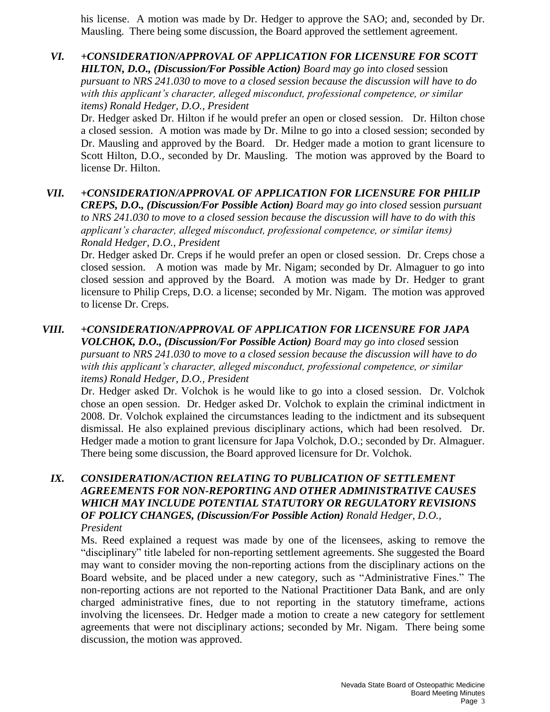his license. A motion was made by Dr. Hedger to approve the SAO; and, seconded by Dr. Mausling. There being some discussion, the Board approved the settlement agreement.

*VI. +CONSIDERATION/APPROVAL OF APPLICATION FOR LICENSURE FOR SCOTT HILTON, D.O., (Discussion/For Possible Action) Board may go into closed* session *pursuant to NRS 241.030 to move to a closed session because the discussion will have to do with this applicant's character, alleged misconduct, professional competence, or similar items) Ronald Hedger, D.O., President*

Dr. Hedger asked Dr. Hilton if he would prefer an open or closed session. Dr. Hilton chose a closed session. A motion was made by Dr. Milne to go into a closed session; seconded by Dr. Mausling and approved by the Board. Dr. Hedger made a motion to grant licensure to Scott Hilton, D.O., seconded by Dr. Mausling. The motion was approved by the Board to license Dr. Hilton.

## *VII. +CONSIDERATION/APPROVAL OF APPLICATION FOR LICENSURE FOR PHILIP*

*CREPS, D.O., (Discussion/For Possible Action) Board may go into closed* session *pursuant to NRS 241.030 to move to a closed session because the discussion will have to do with this applicant's character, alleged misconduct, professional competence, or similar items) Ronald Hedger, D.O., President*

Dr. Hedger asked Dr. Creps if he would prefer an open or closed session. Dr. Creps chose a closed session. A motion was made by Mr. Nigam; seconded by Dr. Almaguer to go into closed session and approved by the Board. A motion was made by Dr. Hedger to grant licensure to Philip Creps, D.O. a license; seconded by Mr. Nigam. The motion was approved to license Dr. Creps.

#### *VIII. +CONSIDERATION/APPROVAL OF APPLICATION FOR LICENSURE FOR JAPA VOLCHOK, D.O., (Discussion/For Possible Action) Board may go into closed* session

*pursuant to NRS 241.030 to move to a closed session because the discussion will have to do with this applicant's character, alleged misconduct, professional competence, or similar items) Ronald Hedger, D.O., President*

Dr. Hedger asked Dr. Volchok is he would like to go into a closed session. Dr. Volchok chose an open session. Dr. Hedger asked Dr. Volchok to explain the criminal indictment in 2008. Dr. Volchok explained the circumstances leading to the indictment and its subsequent dismissal. He also explained previous disciplinary actions, which had been resolved. Dr. Hedger made a motion to grant licensure for Japa Volchok, D.O.; seconded by Dr. Almaguer. There being some discussion, the Board approved licensure for Dr. Volchok.

#### *IX. CONSIDERATION/ACTION RELATING TO PUBLICATION OF SETTLEMENT AGREEMENTS FOR NON-REPORTING AND OTHER ADMINISTRATIVE CAUSES WHICH MAY INCLUDE POTENTIAL STATUTORY OR REGULATORY REVISIONS OF POLICY CHANGES, (Discussion/For Possible Action) Ronald Hedger, D.O., President*

Ms. Reed explained a request was made by one of the licensees, asking to remove the "disciplinary" title labeled for non-reporting settlement agreements. She suggested the Board may want to consider moving the non-reporting actions from the disciplinary actions on the Board website, and be placed under a new category, such as "Administrative Fines." The non-reporting actions are not reported to the National Practitioner Data Bank, and are only charged administrative fines, due to not reporting in the statutory timeframe, actions involving the licensees. Dr. Hedger made a motion to create a new category for settlement agreements that were not disciplinary actions; seconded by Mr. Nigam. There being some discussion, the motion was approved.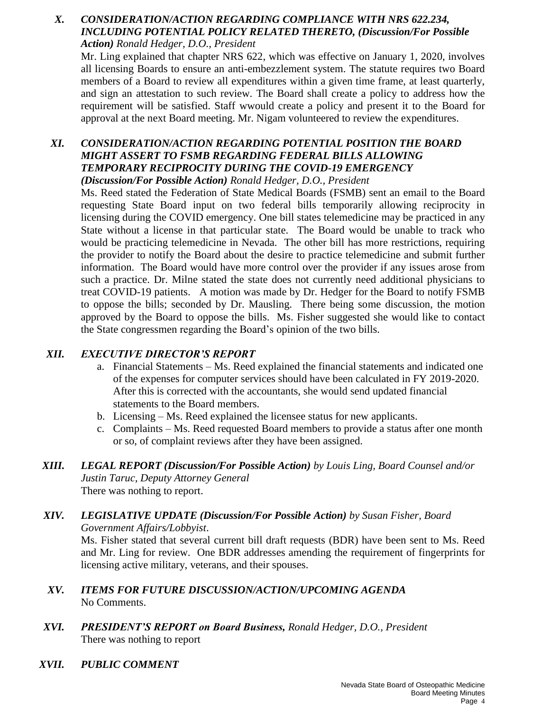#### *X. CONSIDERATION/ACTION REGARDING COMPLIANCE WITH NRS 622.234, INCLUDING POTENTIAL POLICY RELATED THERETO, (Discussion/For Possible Action) Ronald Hedger, D.O., President*

Mr. Ling explained that chapter NRS 622, which was effective on January 1, 2020, involves all licensing Boards to ensure an anti-embezzlement system. The statute requires two Board members of a Board to review all expenditures within a given time frame, at least quarterly, and sign an attestation to such review. The Board shall create a policy to address how the requirement will be satisfied. Staff wwould create a policy and present it to the Board for approval at the next Board meeting. Mr. Nigam volunteered to review the expenditures.

#### *XI. CONSIDERATION/ACTION REGARDING POTENTIAL POSITION THE BOARD MIGHT ASSERT TO FSMB REGARDING FEDERAL BILLS ALLOWING TEMPORARY RECIPROCITY DURING THE COVID-19 EMERGENCY (Discussion/For Possible Action) Ronald Hedger, D.O., President*

Ms. Reed stated the Federation of State Medical Boards (FSMB) sent an email to the Board requesting State Board input on two federal bills temporarily allowing reciprocity in licensing during the COVID emergency. One bill states telemedicine may be practiced in any State without a license in that particular state. The Board would be unable to track who would be practicing telemedicine in Nevada. The other bill has more restrictions, requiring the provider to notify the Board about the desire to practice telemedicine and submit further information. The Board would have more control over the provider if any issues arose from such a practice. Dr. Milne stated the state does not currently need additional physicians to treat COVID-19 patients. A motion was made by Dr. Hedger for the Board to notify FSMB to oppose the bills; seconded by Dr. Mausling. There being some discussion, the motion approved by the Board to oppose the bills. Ms. Fisher suggested she would like to contact the State congressmen regarding the Board's opinion of the two bills.

### *XII. EXECUTIVE DIRECTOR'S REPORT*

- a. Financial Statements Ms. Reed explained the financial statements and indicated one of the expenses for computer services should have been calculated in FY 2019-2020. After this is corrected with the accountants, she would send updated financial statements to the Board members.
- b. Licensing Ms. Reed explained the licensee status for new applicants.
- c. Complaints Ms. Reed requested Board members to provide a status after one month or so, of complaint reviews after they have been assigned.
- *XIII. LEGAL REPORT (Discussion/For Possible Action) by Louis Ling, Board Counsel and/or Justin Taruc, Deputy Attorney General*  There was nothing to report.
- *XIV. LEGISLATIVE UPDATE (Discussion/For Possible Action) by Susan Fisher, Board Government Affairs/Lobbyist*. Ms. Fisher stated that several current bill draft requests (BDR) have been sent to Ms. Reed and Mr. Ling for review. One BDR addresses amending the requirement of fingerprints for licensing active military, veterans, and their spouses.
- *XV. ITEMS FOR FUTURE DISCUSSION/ACTION/UPCOMING AGENDA* No Comments.
- *XVI. PRESIDENT'S REPORT on Board Business, Ronald Hedger, D.O., President* There was nothing to report
- *XVII. PUBLIC COMMENT*